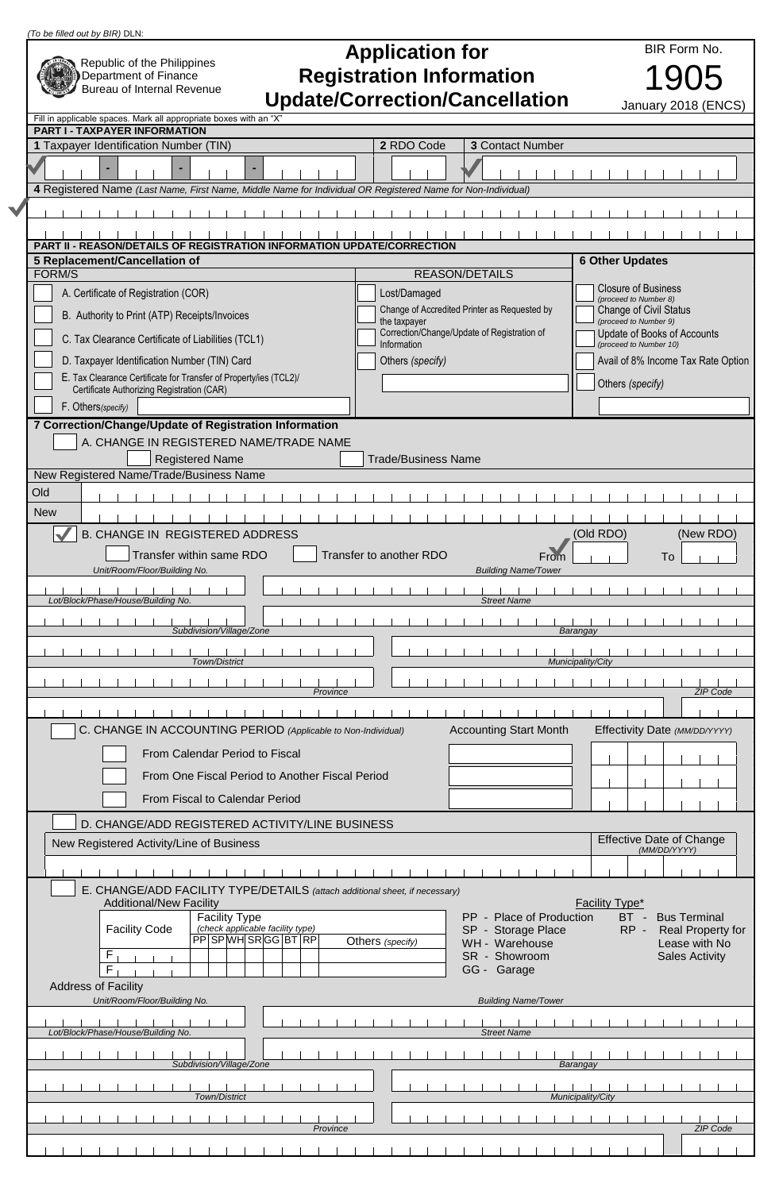|                                                                             | (To be filled out by BIR) DLN:                                                                                                    |                                                             |              |                                                        |  |  |  |  |
|-----------------------------------------------------------------------------|-----------------------------------------------------------------------------------------------------------------------------------|-------------------------------------------------------------|--------------|--------------------------------------------------------|--|--|--|--|
|                                                                             |                                                                                                                                   |                                                             | BIR Form No. |                                                        |  |  |  |  |
|                                                                             | Republic of the Philippines<br>Department of Finance                                                                              | <b>Application for</b><br><b>Registration Information</b>   |              |                                                        |  |  |  |  |
|                                                                             | <b>Bureau of Internal Revenue</b>                                                                                                 |                                                             |              |                                                        |  |  |  |  |
|                                                                             | <b>Update/Correction/Cancellation</b><br>January 2018 (ENCS)<br>Fill in applicable spaces. Mark all appropriate boxes with an "X" |                                                             |              |                                                        |  |  |  |  |
|                                                                             | <b>PART I - TAXPAYER INFORMATION</b>                                                                                              |                                                             |              |                                                        |  |  |  |  |
|                                                                             | 1 Taxpayer Identification Number (TIN)                                                                                            | <b>3 Contact Number</b><br>2 RDO Code                       |              |                                                        |  |  |  |  |
|                                                                             |                                                                                                                                   |                                                             |              |                                                        |  |  |  |  |
|                                                                             | 4 Registered Name (Last Name, First Name, Middle Name for Individual OR Registered Name for Non-Individual)                       |                                                             |              |                                                        |  |  |  |  |
|                                                                             |                                                                                                                                   |                                                             |              |                                                        |  |  |  |  |
|                                                                             | <b>PART II - REASON/DETAILS OF REGISTRATION INFORMATION UPDATE/CORRECTION</b>                                                     |                                                             |              |                                                        |  |  |  |  |
|                                                                             | 5 Replacement/Cancellation of<br>FORM/S                                                                                           | <b>REASON/DETAILS</b>                                       |              | <b>6 Other Updates</b>                                 |  |  |  |  |
|                                                                             | A. Certificate of Registration (COR)                                                                                              | Lost/Damaged                                                |              | Closure of Business                                    |  |  |  |  |
|                                                                             | B. Authority to Print (ATP) Receipts/Invoices                                                                                     | Change of Accredited Printer as Requested by                |              | (proceed to Number 8)<br><b>Change of Civil Status</b> |  |  |  |  |
|                                                                             | C. Tax Clearance Certificate of Liabilities (TCL1)                                                                                | the taxpayer<br>Correction/Change/Update of Registration of |              | (proceed to Number 9)<br>Update of Books of Accounts   |  |  |  |  |
|                                                                             |                                                                                                                                   | Information                                                 |              | (proceed to Number 10)                                 |  |  |  |  |
|                                                                             | D. Taxpayer Identification Number (TIN) Card<br>E. Tax Clearance Certificate for Transfer of Property/ies (TCL2)/                 | Others (specify)                                            |              | Avail of 8% Income Tax Rate Option                     |  |  |  |  |
|                                                                             | Certificate Authorizing Registration (CAR)                                                                                        |                                                             |              | Others (specify)                                       |  |  |  |  |
|                                                                             | F. Others(specify)                                                                                                                |                                                             |              |                                                        |  |  |  |  |
|                                                                             | 7 Correction/Change/Update of Registration Information<br>A. CHANGE IN REGISTERED NAME/TRADE NAME                                 |                                                             |              |                                                        |  |  |  |  |
|                                                                             | <b>Registered Name</b>                                                                                                            | <b>Trade/Business Name</b>                                  |              |                                                        |  |  |  |  |
|                                                                             | New Registered Name/Trade/Business Name                                                                                           |                                                             |              |                                                        |  |  |  |  |
|                                                                             | Old                                                                                                                               |                                                             |              |                                                        |  |  |  |  |
|                                                                             | <b>New</b><br><b>B. CHANGE IN REGISTERED ADDRESS</b>                                                                              |                                                             |              | (New RDO)<br>(Old RDO)                                 |  |  |  |  |
|                                                                             | Transfer within same RDO                                                                                                          | Transfer to another RDO                                     | From         | To                                                     |  |  |  |  |
|                                                                             | Unit/Room/Floor/Building No.                                                                                                      | <b>Building Name/Tower</b>                                  |              |                                                        |  |  |  |  |
| Lot/Block/Phase/House/Building No.<br><b>Street Name</b>                    |                                                                                                                                   |                                                             |              |                                                        |  |  |  |  |
| Subdivision/Village/Zone<br>Barangay                                        |                                                                                                                                   |                                                             |              |                                                        |  |  |  |  |
| Town/District<br>Municipality/City<br>Province<br><b>ZIP Code</b>           |                                                                                                                                   |                                                             |              |                                                        |  |  |  |  |
|                                                                             |                                                                                                                                   |                                                             |              |                                                        |  |  |  |  |
|                                                                             | C. CHANGE IN ACCOUNTING PERIOD (Applicable to Non-Individual)                                                                     | <b>Accounting Start Month</b>                               |              | Effectivity Date (MM/DD/YYYY)                          |  |  |  |  |
|                                                                             | From Calendar Period to Fiscal                                                                                                    |                                                             |              |                                                        |  |  |  |  |
|                                                                             | From One Fiscal Period to Another Fiscal Period                                                                                   |                                                             |              |                                                        |  |  |  |  |
|                                                                             | From Fiscal to Calendar Period                                                                                                    |                                                             |              |                                                        |  |  |  |  |
|                                                                             | D. CHANGE/ADD REGISTERED ACTIVITY/LINE BUSINESS                                                                                   |                                                             |              |                                                        |  |  |  |  |
|                                                                             | New Registered Activity/Line of Business                                                                                          |                                                             |              | <b>Effective Date of Change</b><br>(MM/DD/YYYY)        |  |  |  |  |
|                                                                             |                                                                                                                                   |                                                             |              |                                                        |  |  |  |  |
| E. CHANGE/ADD FACILITY TYPE/DETAILS (attach additional sheet, if necessary) |                                                                                                                                   |                                                             |              |                                                        |  |  |  |  |
|                                                                             | <b>Additional/New Facility</b><br><b>Facility Type</b>                                                                            | PP - Place of Production                                    |              | <b>Facility Type*</b><br>BT -<br><b>Bus Terminal</b>   |  |  |  |  |
|                                                                             | (check applicable facility type)<br><b>Facility Code</b><br>PP SP WH SR GG BT RP                                                  | SP - Storage Place<br>Others (specify)<br>WH - Warehouse    |              | $RP -$<br>Real Property for<br>Lease with No           |  |  |  |  |
|                                                                             | F<br>F                                                                                                                            | SR - Showroom<br>GG - Garage                                |              | <b>Sales Activity</b>                                  |  |  |  |  |
|                                                                             | <b>Address of Facility</b>                                                                                                        |                                                             |              |                                                        |  |  |  |  |
|                                                                             | Unit/Room/Floor/Building No.<br><b>Building Name/Tower</b>                                                                        |                                                             |              |                                                        |  |  |  |  |
|                                                                             | Lot/Block/Phase/House/Building No.                                                                                                | <b>Street Name</b>                                          |              |                                                        |  |  |  |  |
|                                                                             | Subdivision/Village/Zone                                                                                                          |                                                             |              | Barangay                                               |  |  |  |  |
|                                                                             | Town/District                                                                                                                     |                                                             |              | Municipality/City                                      |  |  |  |  |
|                                                                             | Province                                                                                                                          |                                                             |              | <b>ZIP Code</b>                                        |  |  |  |  |
|                                                                             |                                                                                                                                   |                                                             |              |                                                        |  |  |  |  |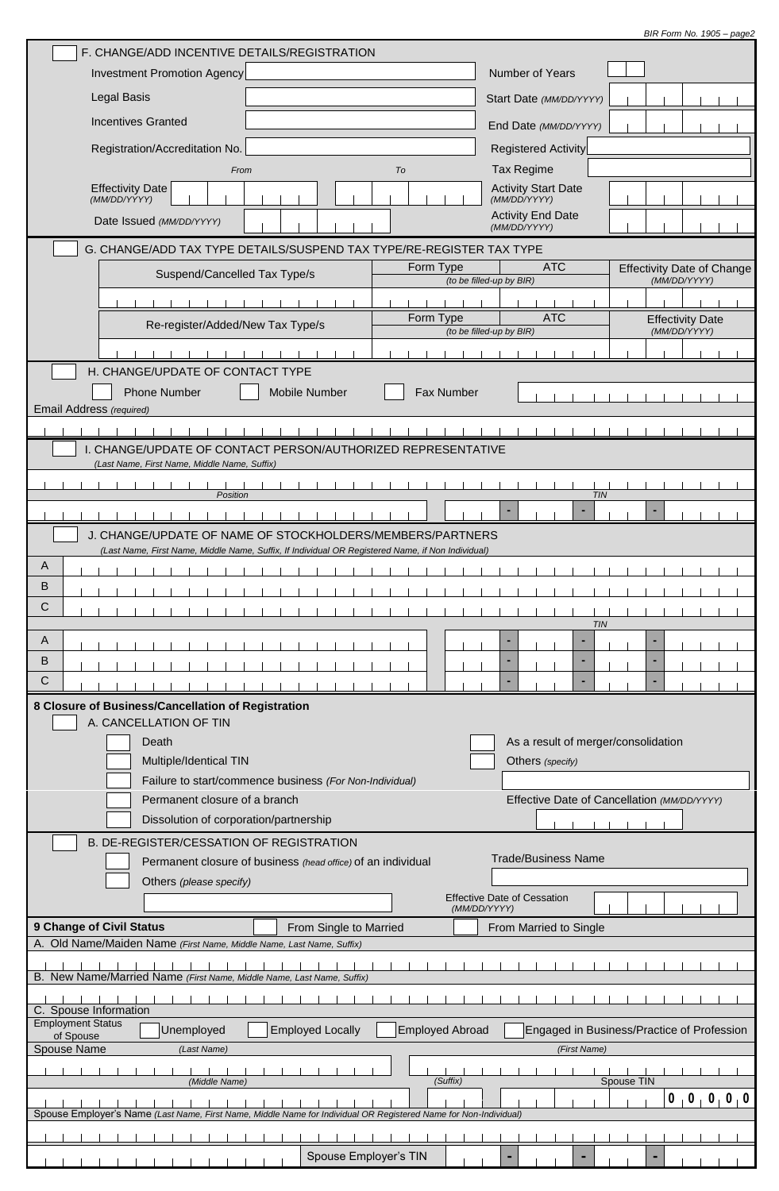| BIR Form No. 1905 - page2 |
|---------------------------|
|                           |

| F. CHANGE/ADD INCENTIVE DETAILS/REGISTRATION                                                                                                                      |                                                                     |  |  |  |  |  |  |  |
|-------------------------------------------------------------------------------------------------------------------------------------------------------------------|---------------------------------------------------------------------|--|--|--|--|--|--|--|
| <b>Investment Promotion Agency</b>                                                                                                                                | <b>Number of Years</b>                                              |  |  |  |  |  |  |  |
| Legal Basis                                                                                                                                                       | Start Date (MM/DD/YYYY)                                             |  |  |  |  |  |  |  |
| <b>Incentives Granted</b>                                                                                                                                         | End Date (MM/DD/YYYY)                                               |  |  |  |  |  |  |  |
| Registration/Accreditation No.                                                                                                                                    | <b>Registered Activity</b>                                          |  |  |  |  |  |  |  |
| Tax Regime<br>To<br>From                                                                                                                                          |                                                                     |  |  |  |  |  |  |  |
| <b>Effectivity Date</b><br>(MM/DD/YYYY)                                                                                                                           | <b>Activity Start Date</b><br>(MM/DD/YYYY)                          |  |  |  |  |  |  |  |
| Date Issued (MM/DD/YYYY)                                                                                                                                          | <b>Activity End Date</b>                                            |  |  |  |  |  |  |  |
|                                                                                                                                                                   | (MM/DD/YYYY)                                                        |  |  |  |  |  |  |  |
| G. CHANGE/ADD TAX TYPE DETAILS/SUSPEND TAX TYPE/RE-REGISTER TAX TYPE                                                                                              | <b>ATC</b><br>Form Type<br><b>Effectivity Date of Change</b>        |  |  |  |  |  |  |  |
| Suspend/Cancelled Tax Type/s                                                                                                                                      | (MM/DD/YYYY)<br>(to be filled-up by BIR)                            |  |  |  |  |  |  |  |
|                                                                                                                                                                   | <b>ATC</b><br>Form Type                                             |  |  |  |  |  |  |  |
| Re-register/Added/New Tax Type/s                                                                                                                                  | <b>Effectivity Date</b><br>(MM/DD/YYYY)<br>(to be filled-up by BIR) |  |  |  |  |  |  |  |
|                                                                                                                                                                   |                                                                     |  |  |  |  |  |  |  |
| H. CHANGE/UPDATE OF CONTACT TYPE                                                                                                                                  |                                                                     |  |  |  |  |  |  |  |
| <b>Phone Number</b><br><b>Mobile Number</b><br>Email Address (required)                                                                                           | <b>Fax Number</b>                                                   |  |  |  |  |  |  |  |
|                                                                                                                                                                   |                                                                     |  |  |  |  |  |  |  |
| I. CHANGE/UPDATE OF CONTACT PERSON/AUTHORIZED REPRESENTATIVE                                                                                                      |                                                                     |  |  |  |  |  |  |  |
| (Last Name, First Name, Middle Name, Suffix)                                                                                                                      |                                                                     |  |  |  |  |  |  |  |
| Position                                                                                                                                                          | <b>TIN</b>                                                          |  |  |  |  |  |  |  |
|                                                                                                                                                                   |                                                                     |  |  |  |  |  |  |  |
| J. CHANGE/UPDATE OF NAME OF STOCKHOLDERS/MEMBERS/PARTNERS                                                                                                         |                                                                     |  |  |  |  |  |  |  |
| (Last Name, First Name, Middle Name, Suffix, If Individual OR Registered Name, if Non Individual)<br>A                                                            |                                                                     |  |  |  |  |  |  |  |
| B                                                                                                                                                                 |                                                                     |  |  |  |  |  |  |  |
| C                                                                                                                                                                 |                                                                     |  |  |  |  |  |  |  |
|                                                                                                                                                                   | <b>TIN</b>                                                          |  |  |  |  |  |  |  |
| A<br>B                                                                                                                                                            |                                                                     |  |  |  |  |  |  |  |
| C                                                                                                                                                                 |                                                                     |  |  |  |  |  |  |  |
| 8 Closure of Business/Cancellation of Registration                                                                                                                |                                                                     |  |  |  |  |  |  |  |
| A. CANCELLATION OF TIN                                                                                                                                            |                                                                     |  |  |  |  |  |  |  |
| Death                                                                                                                                                             | As a result of merger/consolidation                                 |  |  |  |  |  |  |  |
| Multiple/Identical TIN                                                                                                                                            | Others (specify)                                                    |  |  |  |  |  |  |  |
| Failure to start/commence business (For Non-Individual)<br>Permanent closure of a branch                                                                          | Effective Date of Cancellation (MM/DD/YYYY)                         |  |  |  |  |  |  |  |
| Dissolution of corporation/partnership                                                                                                                            |                                                                     |  |  |  |  |  |  |  |
| B. DE-REGISTER/CESSATION OF REGISTRATION                                                                                                                          |                                                                     |  |  |  |  |  |  |  |
| Permanent closure of business (head office) of an individual                                                                                                      | <b>Trade/Business Name</b>                                          |  |  |  |  |  |  |  |
| Others (please specify)                                                                                                                                           |                                                                     |  |  |  |  |  |  |  |
|                                                                                                                                                                   | <b>Effective Date of Cessation</b><br>(MM/DD/YYYY)                  |  |  |  |  |  |  |  |
| 9 Change of Civil Status<br>From Single to Married                                                                                                                | From Married to Single                                              |  |  |  |  |  |  |  |
| A. Old Name/Maiden Name (First Name, Middle Name, Last Name, Suffix)                                                                                              |                                                                     |  |  |  |  |  |  |  |
| B. New Name/Married Name (First Name, Middle Name, Last Name, Suffix)                                                                                             |                                                                     |  |  |  |  |  |  |  |
|                                                                                                                                                                   |                                                                     |  |  |  |  |  |  |  |
| C. Spouse Information<br><b>Employment Status</b>                                                                                                                 |                                                                     |  |  |  |  |  |  |  |
| Unemployed<br><b>Employed Locally</b><br>Employed Abroad<br>Engaged in Business/Practice of Profession<br>of Spouse<br>Spouse Name<br>(Last Name)<br>(First Name) |                                                                     |  |  |  |  |  |  |  |
|                                                                                                                                                                   |                                                                     |  |  |  |  |  |  |  |
| (Middle Name)                                                                                                                                                     | (Suffix)<br>Spouse TIN<br>$\mathbf 0$<br>$0$ 0 0 0                  |  |  |  |  |  |  |  |
| Spouse Employer's Name (Last Name, First Name, Middle Name for Individual OR Registered Name for Non-Individual)                                                  |                                                                     |  |  |  |  |  |  |  |
|                                                                                                                                                                   |                                                                     |  |  |  |  |  |  |  |
| Spouse Employer's TIN                                                                                                                                             |                                                                     |  |  |  |  |  |  |  |